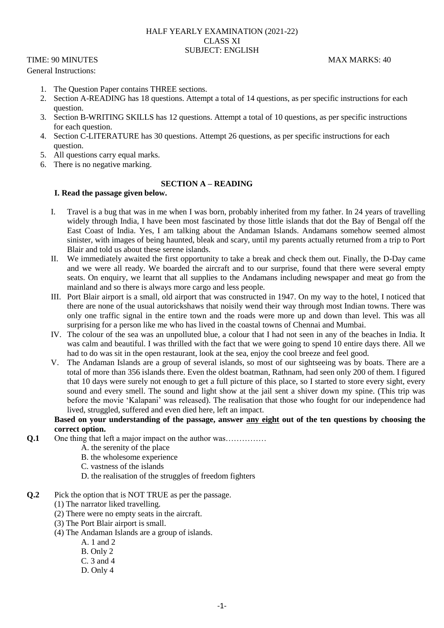#### HALF YEARLY EXAMINATION (2021-22) CLASS XI SUBJECT: ENGLISH

TIME: 90 MINUTES MAX MARKS: 40

General Instructions:

- 1. The Question Paper contains THREE sections.
- 2. Section A-READING has 18 questions. Attempt a total of 14 questions, as per specific instructions for each question.
- 3. Section B-WRITING SKILLS has 12 questions. Attempt a total of 10 questions, as per specific instructions for each question.
- 4. Section C-LITERATURE has 30 questions. Attempt 26 questions, as per specific instructions for each question.
- 5. All questions carry equal marks.
- 6. There is no negative marking.

# **SECTION A – READING**

# **I. Read the passage given below.**

- I. Travel is a bug that was in me when I was born, probably inherited from my father. In 24 years of travelling widely through India, I have been most fascinated by those little islands that dot the Bay of Bengal off the East Coast of India. Yes, I am talking about the Andaman Islands. Andamans somehow seemed almost sinister, with images of being haunted, bleak and scary, until my parents actually returned from a trip to Port Blair and told us about these serene islands.
- II. We immediately awaited the first opportunity to take a break and check them out. Finally, the D-Day came and we were all ready. We boarded the aircraft and to our surprise, found that there were several empty seats. On enquiry, we learnt that all supplies to the Andamans including newspaper and meat go from the mainland and so there is always more cargo and less people.
- III. Port Blair airport is a small, old airport that was constructed in 1947. On my way to the hotel, I noticed that there are none of the usual autorickshaws that noisily wend their way through most Indian towns. There was only one traffic signal in the entire town and the roads were more up and down than level. This was all surprising for a person like me who has lived in the coastal towns of Chennai and Mumbai.
- IV. The colour of the sea was an unpolluted blue, a colour that I had not seen in any of the beaches in India. It was calm and beautiful. I was thrilled with the fact that we were going to spend 10 entire days there. All we had to do was sit in the open restaurant, look at the sea, enjoy the cool breeze and feel good.
- V. The Andaman Islands are a group of several islands, so most of our sightseeing was by boats. There are a total of more than 356 islands there. Even the oldest boatman, Rathnam, had seen only 200 of them. I figured that 10 days were surely not enough to get a full picture of this place, so I started to store every sight, every sound and every smell. The sound and light show at the jail sent a shiver down my spine. (This trip was before the movie 'Kalapani' was released). The realisation that those who fought for our independence had lived, struggled, suffered and even died here, left an impact.

#### **Based on your understanding of the passage, answer any eight out of the ten questions by choosing the correct option.**

- **Q.1** One thing that left a major impact on the author was……………
	- A. the serenity of the place
	- B. the wholesome experience
	- C. vastness of the islands
	- D. the realisation of the struggles of freedom fighters
- **Q.2** Pick the option that is NOT TRUE as per the passage.
	- (1) The narrator liked travelling.
	- (2) There were no empty seats in the aircraft.
	- (3) The Port Blair airport is small.
	- (4) The Andaman Islands are a group of islands.
		- A. 1 and 2
			- B. Only 2
			- C. 3 and 4
			- D. Only 4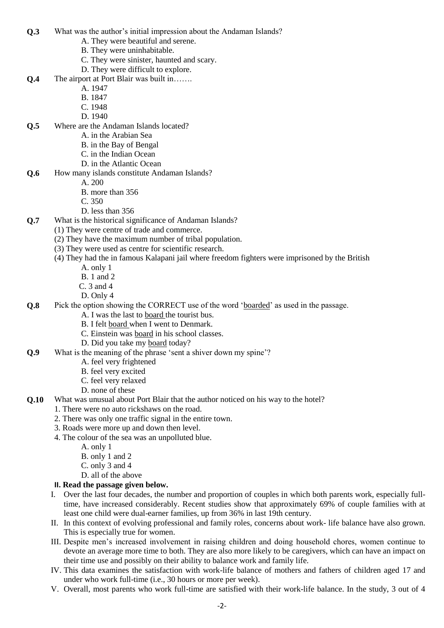- **Q.3** What was the author's initial impression about the Andaman Islands?
	- A. They were beautiful and serene.
	- B. They were uninhabitable.
	- C. They were sinister, haunted and scary.
	- D. They were difficult to explore.
- **Q.4** The airport at Port Blair was built in…….
	- A. 1947
	- B. 1847
	- C. 1948
	- D. 1940
- **Q.5** Where are the Andaman Islands located?
	- A. in the Arabian Sea
		- B. in the Bay of Bengal
		- C. in the Indian Ocean
		- D. in the Atlantic Ocean
- **Q.6** How many islands constitute Andaman Islands?
	- A. 200
	- B. more than 356
	- C. 350
	- D. less than 356
- **Q.7** What is the historical significance of Andaman Islands?
	- (1) They were centre of trade and commerce.
	- (2) They have the maximum number of tribal population.
	- (3) They were used as centre for scientific research.
	- (4) They had the in famous Kalapani jail where freedom fighters were imprisoned by the British
		- A. only 1
		- B. 1 and 2
		- C. 3 and 4
		- D. Only 4
- **Q.8** Pick the option showing the CORRECT use of the word 'boarded' as used in the passage.
	- A. I was the last to board the tourist bus.
	- B. I felt board when I went to Denmark.
	- C. Einstein was board in his school classes.
	- D. Did you take my board today?
- **Q.9** What is the meaning of the phrase 'sent a shiver down my spine'?
	- A. feel very frightened
		- B. feel very excited
		- C. feel very relaxed
	- D. none of these
- **Q.10** What was unusual about Port Blair that the author noticed on his way to the hotel?
	- 1. There were no auto rickshaws on the road.
	- 2. There was only one traffic signal in the entire town.
	- 3. Roads were more up and down then level.
	- 4. The colour of the sea was an unpolluted blue.
		- A. only 1
		- B. only 1 and 2
		- C. only 3 and 4
		- D. all of the above

#### **II. Read the passage given below.**

- I. Over the last four decades, the number and proportion of couples in which both parents work, especially fulltime, have increased considerably. Recent studies show that approximately 69% of couple families with at least one child were dual-earner families, up from 36% in last 19th century.
- II. In this context of evolving professional and family roles, concerns about work- life balance have also grown. This is especially true for women.
- III. Despite men's increased involvement in raising children and doing household chores, women continue to devote an average more time to both. They are also more likely to be caregivers, which can have an impact on their time use and possibly on their ability to balance work and family life.
- IV. This data examines the satisfaction with work-life balance of mothers and fathers of children aged 17 and under who work full-time (i.e., 30 hours or more per week).
- V. Overall, most parents who work full-time are satisfied with their work-life balance. In the study, 3 out of 4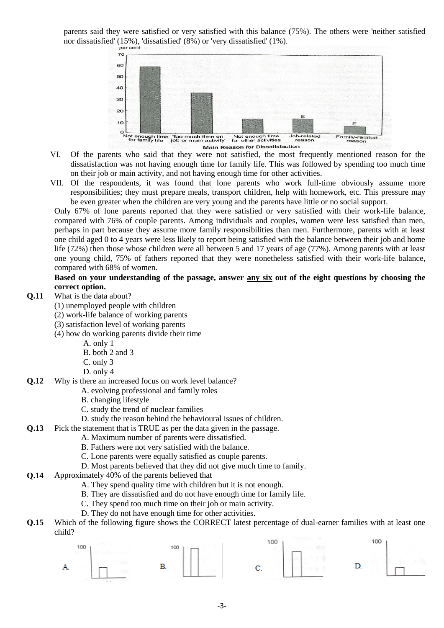parents said they were satisfied or very satisfied with this balance (75%). The others were 'neither satisfied nor dissatisfied' (15%), 'dissatisfied' (8%) or 'very dissatisfied' (1%).



- VI. Of the parents who said that they were not satisfied, the most frequently mentioned reason for the dissatisfaction was not having enough time for family life. This was followed by spending too much time on their job or main activity, and not having enough time for other activities.
- VII. Of the respondents, it was found that lone parents who work full-time obviously assume more responsibilities; they must prepare meals, transport children, help with homework, etc. This pressure may be even greater when the children are very young and the parents have little or no social support.

Only 67% of lone parents reported that they were satisfied or very satisfied with their work-life balance, compared with 76% of couple parents. Among individuals and couples, women were less satisfied than men, perhaps in part because they assume more family responsibilities than men. Furthermore, parents with at least one child aged 0 to 4 years were less likely to report being satisfied with the balance between their job and home life (72%) then those whose children were all between 5 and 17 years of age (77%). Among parents with at least one young child, 75% of fathers reported that they were nonetheless satisfied with their work-life balance, compared with 68% of women.

#### **Based on your understanding of the passage, answer any six out of the eight questions by choosing the correct option.**

- **Q.11** What is the data about?
	- (1) unemployed people with children
	- (2) work-life balance of working parents
	- (3) satisfaction level of working parents
	- (4) how do working parents divide their time
		- A. only 1
		- B. both 2 and 3
		- C. only 3
		- D. only 4
- **Q.12** Why is there an increased focus on work level balance?
	- A. evolving professional and family roles
	- B. changing lifestyle
	- C. study the trend of nuclear families
	- D. study the reason behind the behavioural issues of children.
- **Q.13** Pick the statement that is TRUE as per the data given in the passage.
	- A. Maximum number of parents were dissatisfied.
	- B. Fathers were not very satisfied with the balance.
	- C. Lone parents were equally satisfied as couple parents.
	- D. Most parents believed that they did not give much time to family.
- **Q.14** Approximately 40% of the parents believed that
	- A. They spend quality time with children but it is not enough.
	- B. They are dissatisfied and do not have enough time for family life.
	- C. They spend too much time on their job or main activity.
	- D. They do not have enough time for other activities.
- **Q.15** Which of the following figure shows the CORRECT latest percentage of dual-earner families with at least one child?

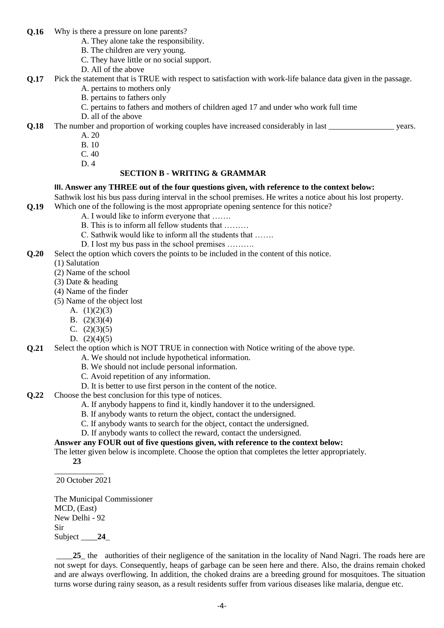- **Q.16** Why is there a pressure on lone parents?
	- A. They alone take the responsibility.
	- B. The children are very young.
	- C. They have little or no social support.
	- D. All of the above
- **Q.17** Pick the statement that is TRUE with respect to satisfaction with work-life balance data given in the passage.
	- A. pertains to mothers only
	- B. pertains to fathers only
	- C. pertains to fathers and mothers of children aged 17 and under who work full time
	- D. all of the above

**Q.18** The number and proportion of working couples have increased considerably in last \_\_\_\_\_\_\_\_\_\_\_\_\_\_\_\_\_\_\_ years.

- A. 20
- B. 10
- C. 40
- D. 4

# **SECTION B - WRITING & GRAMMAR**

# **III. Answer any THREE out of the four questions given, with reference to the context below:**

Sathwik lost his bus pass during interval in the school premises. He writes a notice about his lost property. **Q.19** Which one of the following is the most appropriate opening sentence for this notice?

- A. I would like to inform everyone that …….
- B. This is to inform all fellow students that ………
- C. Sathwik would like to inform all the students that …….
	- D. I lost my bus pass in the school premises .........
- **Q.20** Select the option which covers the points to be included in the content of this notice.
	- (1) Salutation
	- (2) Name of the school
	- (3) Date & heading
	- (4) Name of the finder
	- (5) Name of the object lost
		- A.  $(1)(2)(3)$
		- B. (2)(3)(4)
		- C.  $(2)(3)(5)$
		- D.  $(2)(4)(5)$

# **Q.21** Select the option which is NOT TRUE in connection with Notice writing of the above type.

- A. We should not include hypothetical information.
- B. We should not include personal information.
- C. Avoid repetition of any information.
- D. It is better to use first person in the content of the notice.
- **Q.22** Choose the best conclusion for this type of notices.
	- A. If anybody happens to find it, kindly handover it to the undersigned.
	- B. If anybody wants to return the object, contact the undersigned.
	- C. If anybody wants to search for the object, contact the undersigned.
	- D. If anybody wants to collect the reward, contact the undersigned.

#### **Answer any FOUR out of five questions given, with reference to the context below:**

The letter given below is incomplete. Choose the option that completes the letter appropriately.

 **23** \_\_\_\_\_\_\_\_\_\_\_\_

20 October 2021

The Municipal Commissioner MCD, (East) New Delhi - 92 Sir Subject \_\_\_\_**24**\_

25 the authorities of their negligence of the sanitation in the locality of Nand Nagri. The roads here are not swept for days. Consequently, heaps of garbage can be seen here and there. Also, the drains remain choked and are always overflowing. In addition, the choked drains are a breeding ground for mosquitoes. The situation turns worse during rainy season, as a result residents suffer from various diseases like malaria, dengue etc.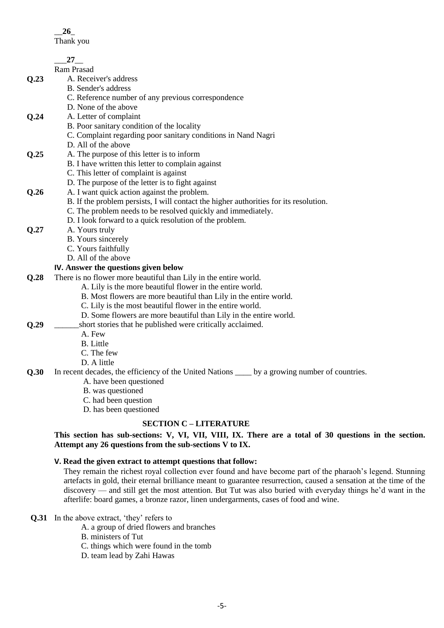Thank you

|      | $27$ <sub>——</sub>                                                                                     |
|------|--------------------------------------------------------------------------------------------------------|
|      | Ram Prasad                                                                                             |
| Q.23 | A. Receiver's address                                                                                  |
|      | B. Sender's address                                                                                    |
|      | C. Reference number of any previous correspondence                                                     |
|      | D. None of the above                                                                                   |
| Q.24 | A. Letter of complaint                                                                                 |
|      | B. Poor sanitary condition of the locality                                                             |
|      | C. Complaint regarding poor sanitary conditions in Nand Nagri                                          |
|      | D. All of the above                                                                                    |
| Q.25 | A. The purpose of this letter is to inform                                                             |
|      | B. I have written this letter to complain against                                                      |
|      | C. This letter of complaint is against                                                                 |
|      | D. The purpose of the letter is to fight against                                                       |
| Q.26 | A. I want quick action against the problem.                                                            |
|      | B. If the problem persists, I will contact the higher authorities for its resolution.                  |
|      | C. The problem needs to be resolved quickly and immediately.                                           |
|      | D. I look forward to a quick resolution of the problem.                                                |
| Q.27 | A. Yours truly                                                                                         |
|      | B. Yours sincerely                                                                                     |
|      | C. Yours faithfully                                                                                    |
|      | D. All of the above                                                                                    |
|      | IV. Answer the questions given below                                                                   |
| Q.28 | There is no flower more beautiful than Lily in the entire world.                                       |
|      | A. Lily is the more beautiful flower in the entire world.                                              |
|      | B. Most flowers are more beautiful than Lily in the entire world.                                      |
|      | C. Lily is the most beautiful flower in the entire world.                                              |
|      | D. Some flowers are more beautiful than Lily in the entire world.                                      |
| Q.29 | short stories that he published were critically acclaimed.                                             |
|      | A. Few                                                                                                 |
|      | <b>B.</b> Little                                                                                       |
|      | C. The few                                                                                             |
|      | D. A little                                                                                            |
| Q.30 | In recent decades, the efficiency of the United Nations _____ by a growing number of countries.        |
|      | A. have been questioned<br>B. was questioned                                                           |
|      | C. had been question                                                                                   |
|      | D. has been questioned                                                                                 |
|      |                                                                                                        |
|      | <b>SECTION C - LITERATURE</b>                                                                          |
|      | This section has sub-sections: V, VI, VII, VIII, IX. There are a total of 30 questions in the section. |

# **Attempt any 26 questions from the sub-sections V to IX.**

# **V. Read the given extract to attempt questions that follow:**

They remain the richest royal collection ever found and have become part of the pharaoh's legend. Stunning artefacts in gold, their eternal brilliance meant to guarantee resurrection, caused a sensation at the time of the discovery — and still get the most attention. But Tut was also buried with everyday things he'd want in the afterlife: board games, a bronze razor, linen undergarments, cases of food and wine.

**Q.31** In the above extract, 'they' refers to

A. a group of dried flowers and branches

B. ministers of Tut

C. things which were found in the tomb

D. team lead by Zahi Hawas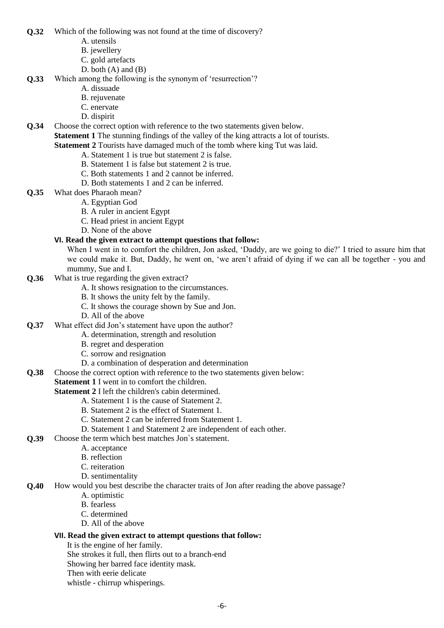**Q.32** Which of the following was not found at the time of discovery?

- A. utensils
- B. jewellery
- C. gold artefacts
- D. both  $(A)$  and  $(B)$
- **Q.33** Which among the following is the synonym of 'resurrection'?
	- A. dissuade
	- B. rejuvenate
	- C. enervate
	- D. dispirit
- **Q.34** Choose the correct option with reference to the two statements given below.
	- **Statement 1** The stunning findings of the valley of the king attracts a lot of tourists.

# **Statement 2** Tourists have damaged much of the tomb where king Tut was laid.

- A. Statement 1 is true but statement 2 is false.
- B. Statement 1 is false but statement 2 is true.
- C. Both statements 1 and 2 cannot be inferred.
- D. Both statements 1 and 2 can be inferred.
- **Q.35** What does Pharaoh mean?
	- A. Egyptian God
		- B. A ruler in ancient Egypt
		- C. Head priest in ancient Egypt
		- D. None of the above

# **VI. Read the given extract to attempt questions that follow:**

When I went in to comfort the children, Jon asked, 'Daddy, are we going to die?' I tried to assure him that we could make it. But, Daddy, he went on, 'we aren't afraid of dying if we can all be together - you and mummy, Sue and I.

- **Q.36** What is true regarding the given extract?
	- A. It shows resignation to the circumstances.
	- B. It shows the unity felt by the family.
	- C. It shows the courage shown by Sue and Jon.
	- D. All of the above

# **Q.37** What effect did Jon's statement have upon the author?

- A. determination, strength and resolution
- B. regret and desperation
- C. sorrow and resignation
- D. a combination of desperation and determination
- **Q.38** Choose the correct option with reference to the two statements given below:
	- **Statement 1** I went in to comfort the children.

#### **Statement 2** I left the children's cabin determined.

- A. Statement 1 is the cause of Statement 2.
- B. Statement 2 is the effect of Statement 1.
- C. Statement 2 can be inferred from Statement 1.
- D. Statement 1 and Statement 2 are independent of each other.

# **Q.39** Choose the term which best matches Jon`s statement.

- A. acceptance
- B. reflection
- C. reiteration
- D. sentimentality

## **Q.40** How would you best describe the character traits of Jon after reading the above passage?

- A. optimistic
- B. fearless
- C. determined
- D. All of the above

#### **VII. Read the given extract to attempt questions that follow:**

- It is the engine of her family.
- She strokes it full, then flirts out to a branch-end
- Showing her barred face identity mask.
- Then with eerie delicate
- whistle chirrup whisperings.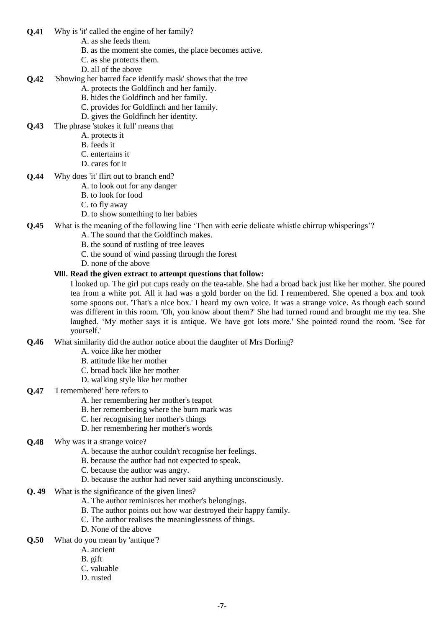- **Q.41** Why is 'it' called the engine of her family?
	- A. as she feeds them.
	- B. as the moment she comes, the place becomes active.
	- C. as she protects them.
	- D. all of the above
- **Q.42** 'Showing her barred face identify mask' shows that the tree
	- A. protects the Goldfinch and her family.
	- B. hides the Goldfinch and her family.
	- C. provides for Goldfinch and her family.
	- D. gives the Goldfinch her identity.
- **Q.43** The phrase 'stokes it full' means that
	- A. protects it
	- B. feeds it
	- C. entertains it
	- D. cares for it
- **Q.44** Why does 'it' flirt out to branch end?
	- A. to look out for any danger
	- B. to look for food
	- C. to fly away
	- D. to show something to her babies
- **Q.45** What is the meaning of the following line 'Then with eerie delicate whistle chirrup whisperings'?
	- A. The sound that the Goldfinch makes.
	- B. the sound of rustling of tree leaves
	- C. the sound of wind passing through the forest
	- D. none of the above

#### **VIII. Read the given extract to attempt questions that follow:**

I looked up. The girl put cups ready on the tea-table. She had a broad back just like her mother. She poured tea from a white pot. All it had was a gold border on the lid. I remembered. She opened a box and took some spoons out. 'That's a nice box.' I heard my own voice. It was a strange voice. As though each sound was different in this room. 'Oh, you know about them?' She had turned round and brought me my tea. She laughed. 'My mother says it is antique. We have got lots more.' She pointed round the room. 'See for yourself.'

- **Q.46** What similarity did the author notice about the daughter of Mrs Dorling?
	- A. voice like her mother
	- B. attitude like her mother
	- C. broad back like her mother
	- D. walking style like her mother

# **Q.47** 'I remembered' here refers to

- A. her remembering her mother's teapot
- B. her remembering where the burn mark was
- C. her recognising her mother's things
- D. her remembering her mother's words
- **Q.48** Why was it a strange voice?
	- A. because the author couldn't recognise her feelings.
	- B. because the author had not expected to speak.
	- C. because the author was angry.
	- D. because the author had never said anything unconsciously.
- **Q. 49** What is the significance of the given lines?
	- A. The author reminisces her mother's belongings.
		- B. The author points out how war destroyed their happy family.
		- C. The author realises the meaninglessness of things.
		- D. None of the above
- **Q.50** What do you mean by 'antique'?
	- A. ancient
	- B. gift
	- C. valuable
	- D. rusted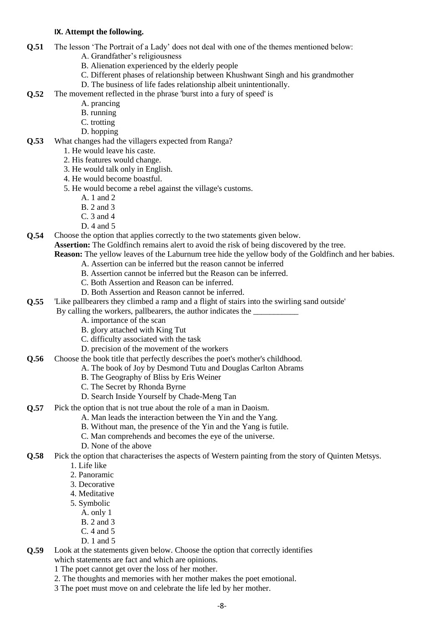#### **IX. Attempt the following.**

- **Q.51** The lesson 'The Portrait of a Lady' does not deal with one of the themes mentioned below:
	- A. Grandfather's religiousness
		- B. Alienation experienced by the elderly people
		- C. Different phases of relationship between Khushwant Singh and his grandmother
		- D. The business of life fades relationship albeit unintentionally.
- **Q.52** The movement reflected in the phrase 'burst into a fury of speed' is
	- A. prancing
	- B. running
	- C. trotting
	- D. hopping
- **Q.53** What changes had the villagers expected from Ranga?
	- 1. He would leave his caste.
	- 2. His features would change.
	- 3. He would talk only in English.
	- 4. He would become boastful.
	- 5. He would become a rebel against the village's customs.
		- A. 1 and 2
		- B. 2 and 3
		- C. 3 and 4
		- D. 4 and 5
- **Q.54** Choose the option that applies correctly to the two statements given below.

**Assertion:** The Goldfinch remains alert to avoid the risk of being discovered by the tree.

**Reason:** The yellow leaves of the Laburnum tree hide the yellow body of the Goldfinch and her babies.

- A. Assertion can be inferred but the reason cannot be inferred
- B. Assertion cannot be inferred but the Reason can be inferred.
- C. Both Assertion and Reason can be inferred.
- D. Both Assertion and Reason cannot be inferred.
- **Q.55** 'Like pallbearers they climbed a ramp and a flight of stairs into the swirling sand outside'

By calling the workers, pallbearers, the author indicates the

- A. importance of the scan
- B. glory attached with King Tut
- C. difficulty associated with the task
- D. precision of the movement of the workers
- **Q.56** Choose the book title that perfectly describes the poet's mother's childhood.
	- A. The book of Joy by Desmond Tutu and Douglas Carlton Abrams
	- B. The Geography of Bliss by Eris Weiner
	- C. The Secret by Rhonda Byrne
	- D. Search Inside Yourself by Chade-Meng Tan
- **Q.57** Pick the option that is not true about the role of a man in Daoism.
	- A. Man leads the interaction between the Yin and the Yang.
		- B. Without man, the presence of the Yin and the Yang is futile.
		- C. Man comprehends and becomes the eye of the universe.
	- D. None of the above
- **Q.58** Pick the option that characterises the aspects of Western painting from the story of Quinten Metsys.
	- 1. Life like
	- 2. Panoramic
	- 3. Decorative
	- 4. Meditative
	- 5. Symbolic
		- A. only 1
		- B. 2 and 3
		- C. 4 and 5 D. 1 and 5
- **Q.59** Look at the statements given below. Choose the option that correctly identifies which statements are fact and which are opinions.
	- 1 The poet cannot get over the loss of her mother.
	- 2. The thoughts and memories with her mother makes the poet emotional.
	- 3 The poet must move on and celebrate the life led by her mother.